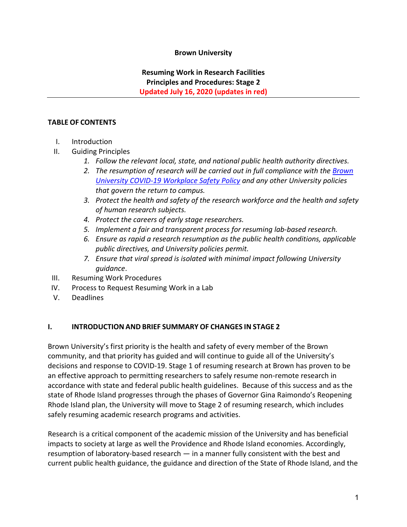### **Brown University**

# **Resuming Work in Research Facilities Principles and Procedures: Stage 2 Updated July 16, 2020 (updates in red)**

#### **TABLE OF CONTENTS**

- I. Introduction
- II. Guiding Principles
	- *1. Follow the relevant local, state, and national public health authority directives.*
	- *2. The resumption of research will be carried out in full compliance with the [Brown](http://brown.edu/go/workplace-safety-policy)  [University COVID-19 Workplace Safety Policy](http://brown.edu/go/workplace-safety-policy) and any other University policies that govern the return to campus.*
	- *3. Protect the health and safety of the research workforce and the health and safety of human research subjects.*
	- *4. Protect the careers of early stage researchers.*
	- *5. Implement a fair and transparent process for resuming lab-based research.*
	- *6. Ensure as rapid a research resumption as the public health conditions, applicable public directives, and University policies permit.*
	- *7. Ensure that viral spread is isolated with minimal impact following University guidance*.
- III. Resuming Work Procedures
- IV. Process to Request Resuming Work in a Lab
- V. Deadlines

#### **I. INTRODUCTION AND BRIEF SUMMARY OF CHANGES IN STAGE 2**

Brown University's first priority is the health and safety of every member of the Brown community, and that priority has guided and will continue to guide all of the University's decisions and response to COVID-19. Stage 1 of resuming research at Brown has proven to be an effective approach to permitting researchers to safely resume non-remote research in accordance with state and federal public health guidelines. Because of this success and as the state of Rhode Island progresses through the phases of Governor Gina Raimondo's Reopening Rhode Island plan, the University will move to Stage 2 of resuming research, which includes safely resuming academic research programs and activities.

Research is a critical component of the academic mission of the University and has beneficial impacts to society at large as well the Providence and Rhode Island economies. Accordingly, resumption of laboratory-based research — in a manner fully consistent with the best and current public health guidance, the guidance and direction of the State of Rhode Island, and the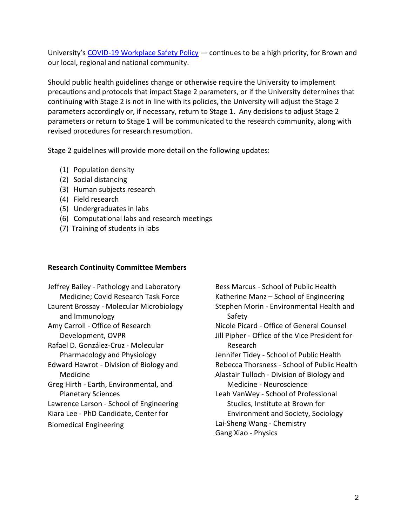University'[s COVID-19 Workplace Safety Policy](http://brown.edu/go/workplace-safety-policy) — continues to be a high priority, for Brown and our local, regional and national community.

Should public health guidelines change or otherwise require the University to implement precautions and protocols that impact Stage 2 parameters, or if the University determines that continuing with Stage 2 is not in line with its policies, the University will adjust the Stage 2 parameters accordingly or, if necessary, return to Stage 1. Any decisions to adjust Stage 2 parameters or return to Stage 1 will be communicated to the research community, along with revised procedures for research resumption.

Stage 2 guidelines will provide more detail on the following updates:

- (1) Population density
- (2) Social distancing
- (3) Human subjects research
- (4) Field research
- (5) Undergraduates in labs
- (6) Computational labs and research meetings
- (7) Training of students in labs

# **Research Continuity Committee Members**

Jeffrey Bailey - Pathology and Laboratory Medicine; Covid Research Task Force Laurent Brossay - Molecular Microbiology and Immunology Amy Carroll - Office of Research Development, OVPR Rafael D. González-Cruz - Molecular Pharmacology and Physiology Edward Hawrot - Division of Biology and Medicine Greg Hirth - Earth, Environmental, and Planetary Sciences Lawrence Larson - School of Engineering Kiara Lee - PhD Candidate, Center for Biomedical Engineering

Bess Marcus - School of Public Health Katherine Manz – School of Engineering Stephen Morin - Environmental Health and Safety Nicole Picard - Office of General Counsel Jill Pipher - Office of the Vice President for Research Jennifer Tidey - School of Public Health Rebecca Thorsness - School of Public Health Alastair Tulloch - Division of Biology and Medicine - Neuroscience Leah VanWey - School of Professional Studies, Institute at Brown for Environment and Society, Sociology Lai-Sheng Wang - Chemistry Gang Xiao - Physics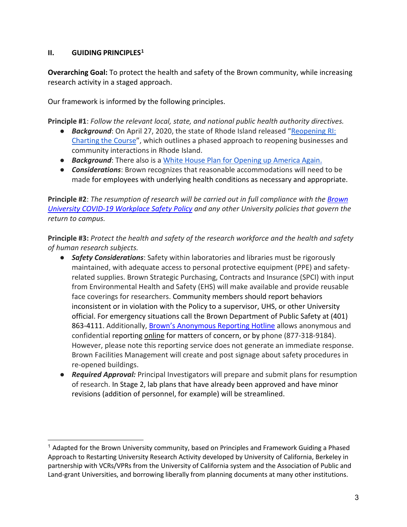# **II. GUIDING PRINCIPLE[S1](#page-2-0)**

**Overarching Goal:** To protect the health and safety of the Brown community, while increasing research activity in a staged approach.

Our framework is informed by the following principles.

**Principle #1**: *Follow the relevant local, state, and national public health authority directives.*

- *Background*: On April 27, 2020, the state of Rhode Island released ["Reopening RI:](https://www.reopeningri.com/)  [Charting the Course"](https://www.reopeningri.com/), which outlines a phased approach to reopening businesses and community interactions in Rhode Island.
- **Background:** There also is a [White House Plan for Opening up America Again.](https://www.whitehouse.gov/wp-content/uploads/2020/04/Guidelines-for-Opening-Up-America-Again.pdf)
- *Considerations*: Brown recognizes that reasonable accommodations will need to be made for employees with underlying health conditions as necessary and appropriate.

**Principle #2**: *The resumption of research will be carried out in full compliance with the [Brown](http://brown.edu/go/workplace-safety-policy)  [University COVID-19 Workplace Safety Policy](http://brown.edu/go/workplace-safety-policy) and any other University policies that govern the return to campus.*

**Principle #3:** *Protect the health and safety of the research workforce and the health and safety of human research subjects.*

- *Safety Considerations*: Safety within laboratories and libraries must be rigorously maintained, with adequate access to personal protective equipment (PPE) and safetyrelated supplies. Brown Strategic Purchasing, Contracts and Insurance (SPCI) with input from Environmental Health and Safety (EHS) will make available and provide reusable face coverings for researchers. Community members should report behaviors inconsistent or in violation with the Policy to a supervisor, UHS, or other University official. For emergency situations call the Brown Department of Public Safety at (401) 863-4111. Additionally, [Brown's Anonymous Reporting Hotline](https://compliance.brown.edu/reporting-concerns) allows anonymous and confidential reporting *online* for matters of concern, or by phone (877-318-9184). However, please note this reporting service does not generate an immediate response. Brown Facilities Management will create and post signage about safety procedures in re-opened buildings.
- *Required Approval:* Principal Investigators will prepare and submit plans for resumption of research. In Stage 2, lab plans that have already been approved and have minor revisions (addition of personnel, for example) will be streamlined.

<span id="page-2-0"></span><sup>&</sup>lt;sup>1</sup> Adapted for the Brown University community, based on Principles and Framework Guiding a Phased Approach to Restarting University Research Activity developed by University of California, Berkeley in partnership with VCRs/VPRs from the University of California system and the Association of Public and Land-grant Universities, and borrowing liberally from planning documents at many other institutions.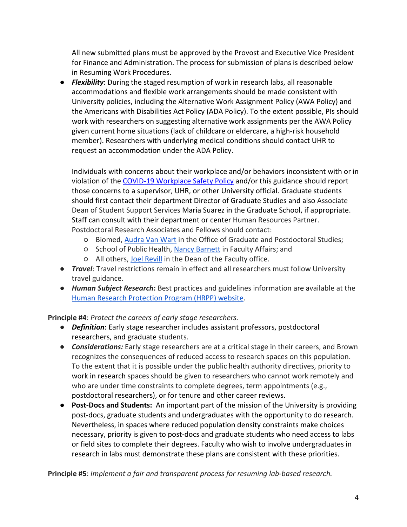All new submitted plans must be approved by the Provost and Executive Vice President for Finance and Administration. The process for submission of plans is described below in Resuming Work Procedures.

● *Flexibility*: During the staged resumption of work in research labs, all reasonable accommodations and flexible work arrangements should be made consistent with University policies, including the Alternative Work Assignment Policy (AWA Policy) and the Americans with Disabilities Act Policy (ADA Policy). To the extent possible, PIs should work with researchers on suggesting alternative work assignments per the AWA Policy given current home situations (lack of childcare or eldercare, a high-risk household member). Researchers with underlying medical conditions should contact UHR to request an accommodation under the ADA Policy.

Individuals with concerns about their workplace and/or behaviors inconsistent with or in violation of the [COVID-19 Workplace Safety Policy](http://brown.edu/go/workplace-safety-policy) and/or this guidance should report those concerns to a supervisor, UHR, or other University official. Graduate students should first contact their department Director of Graduate Studies and also Associate Dean of Student Support Services Maria Suarez in the Graduate School, if appropriate. Staff can consult with their department or center Human Resources Partner. Postdoctoral Research Associates and Fellows should contact:

- Biomed, [Audra Van Wart](mailto:audra_van_wart@brown.edu) in the Office of Graduate and Postdoctoral Studies;
- School of Public Health, [Nancy Barnett](mailto:nancy_barnett@brown.edu) in Faculty Affairs; and
- All others, [Joel Revill](mailto:joel_revill@brown.edu) in the Dean of the Faculty office.
- *Travel*: Travel restrictions remain in effect and all researchers must follow University travel guidance.
- *Human Subject Research***:** Best practices and guidelines information are available at the [Human Research Protection Program \(HRPP\) website.](https://www.brown.edu/research/conducting-research-brown/research-compliance-irb-iacuc-coi-export-control/hrpp-irb-home-page)

**Principle #4**: *Protect the careers of early stage researchers.*

- *Definition*: Early stage researcher includes assistant professors, postdoctoral researchers, and graduate students.
- *Considerations:* Early stage researchers are at a critical stage in their careers, and Brown recognizes the consequences of reduced access to research spaces on this population. To the extent that it is possible under the public health authority directives, priority to work in research spaces should be given to researchers who cannot work remotely and who are under time constraints to complete degrees, term appointments (e.g., postdoctoral researchers), or for tenure and other career reviews.
- **Post-Docs and Students:** An important part of the mission of the University is providing post-docs, graduate students and undergraduates with the opportunity to do research. Nevertheless, in spaces where reduced population density constraints make choices necessary, priority is given to post-docs and graduate students who need access to labs or field sites to complete their degrees. Faculty who wish to involve undergraduates in research in labs must demonstrate these plans are consistent with these priorities.

**Principle #5**: *Implement a fair and transparent process for resuming lab-based research.*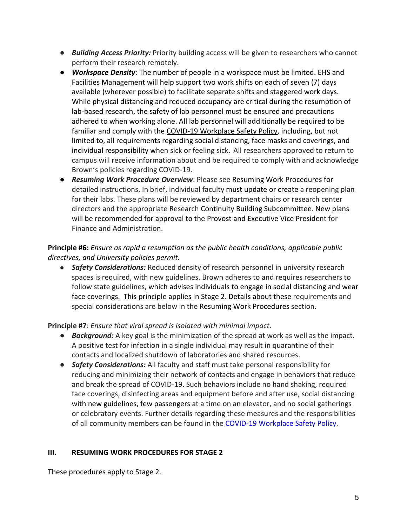- *Building Access Priority:* Priority building access will be given to researchers who cannot perform their research remotely.
- *Workspace Density*: The number of people in a workspace must be limited. EHS and Facilities Management will help support two work shifts on each of seven (7) days available (wherever possible) to facilitate separate shifts and staggered work days. While physical distancing and reduced occupancy are critical during the resumption of lab-based research, the safety of lab personnel must be ensured and precautions adhered to when working alone. All lab personnel will additionally be required to be familiar and comply with the [COVID-19 Workplace Safety Policy,](http://brown.edu/go/workplace-safety-policy) including, but not limited to, all requirements regarding social distancing, face masks and coverings, and individual responsibility when sick or feeling sick. All researchers approved to return to campus will receive information about and be required to comply with and acknowledge Brown's policies regarding COVID-19.
- *Resuming Work Procedure Overview*: Please see Resuming Work Procedures for detailed instructions. In brief, individual faculty must update or create a reopening plan for their labs. These plans will be reviewed by department chairs or research center directors and the appropriate Research Continuity Building Subcommittee. New plans will be recommended for approval to the Provost and Executive Vice President for Finance and Administration.

# **Principle #6:** *Ensure as rapid a resumption as the public health conditions, applicable public directives, and University policies permit.*

● *Safety Considerations:* Reduced density of research personnel in university research spaces is required, with new guidelines. Brown adheres to and requires researchers to follow state guidelines, which advises individuals to engage in social distancing and wear face coverings. This principle applies in Stage 2. Details about these requirements and special considerations are below in the Resuming Work Procedures section.

# **Principle #7**: *Ensure that viral spread is isolated with minimal impact*.

- *Background:* A key goal is the minimization of the spread at work as well as the impact. A positive test for infection in a single individual may result in quarantine of their contacts and localized shutdown of laboratories and shared resources.
- *Safety Considerations:* All faculty and staff must take personal responsibility for reducing and minimizing their network of contacts and engage in behaviors that reduce and break the spread of COVID-19. Such behaviors include no hand shaking, required face coverings, disinfecting areas and equipment before and after use, social distancing with new guidelines, few passengers at a time on an elevator, and no social gatherings or celebratory events. Further details regarding these measures and the responsibilities of all community members can be found in the [COVID-19 Workplace Safety Policy.](http://brown.edu/go/workplace-safety-policy)

# **III. RESUMING WORK PROCEDURES FOR STAGE 2**

These procedures apply to Stage 2.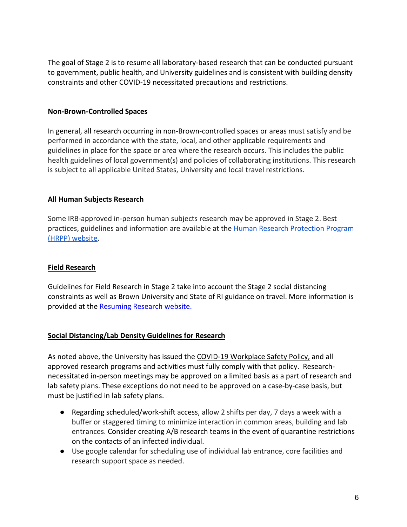The goal of Stage 2 is to resume all laboratory-based research that can be conducted pursuant to government, public health, and University guidelines and is consistent with building density constraints and other COVID-19 necessitated precautions and restrictions.

#### **Non-Brown-Controlled Spaces**

In general, all research occurring in non-Brown-controlled spaces or areas must satisfy and be performed in accordance with the state, local, and other applicable requirements and guidelines in place for the space or area where the research occurs. This includes the public health guidelines of local government(s) and policies of collaborating institutions. This research is subject to all applicable United States, University and local travel restrictions.

#### **All Human Subjects Research**

Some IRB-approved in-person human subjects research may be approved in Stage 2. Best practices, guidelines and information are available at the [Human Research Protection Program](https://www.brown.edu/research/conducting-research-brown/research-compliance-irb-iacuc-coi-export-control/hrpp-irb-home-page)  [\(HRPP\) website.](https://www.brown.edu/research/conducting-research-brown/research-compliance-irb-iacuc-coi-export-control/hrpp-irb-home-page)

### **Field Research**

Guidelines for Field Research in Stage 2 take into account the Stage 2 social distancing constraints as well as Brown University and State of RI guidance on travel. More information is provided at the [Resuming Research website.](https://www.brown.edu/research/conducting-research-brown/resuming-research)

#### **Social Distancing/Lab Density Guidelines for Research**

As noted above, the University has issued the [COVID-19 Workplace Safety Policy,](http://brown.edu/go/workplace-safety-policy) and all approved research programs and activities must fully comply with that policy. Researchnecessitated in-person meetings may be approved on a limited basis as a part of research and lab safety plans. These exceptions do not need to be approved on a case-by-case basis, but must be justified in lab safety plans.

- Regarding scheduled/work-shift access, allow 2 shifts per day, 7 days a week with a buffer or staggered timing to minimize interaction in common areas, building and lab entrances. Consider creating A/B research teams in the event of quarantine restrictions on the contacts of an infected individual.
- Use google calendar for scheduling use of individual lab entrance, core facilities and research support space as needed.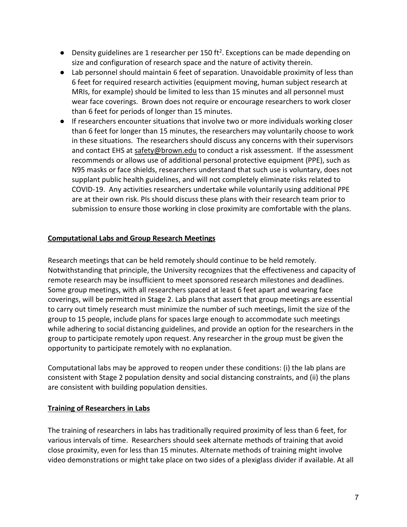- $\bullet$  Density guidelines are 1 researcher per 150 ft<sup>2</sup>. Exceptions can be made depending on size and configuration of research space and the nature of activity therein.
- Lab personnel should maintain 6 feet of separation. Unavoidable proximity of less than 6 feet for required research activities (equipment moving, human subject research at MRIs, for example) should be limited to less than 15 minutes and all personnel must wear face coverings. Brown does not require or encourage researchers to work closer than 6 feet for periods of longer than 15 minutes.
- If researchers encounter situations that involve two or more individuals working closer than 6 feet for longer than 15 minutes, the researchers may voluntarily choose to work in these situations. The researchers should discuss any concerns with their supervisors and contact EHS at [safety@brown.edu](mailto:safety@brown.edu) to conduct a risk assessment. If the assessment recommends or allows use of additional personal protective equipment (PPE), such as N95 masks or face shields, researchers understand that such use is voluntary, does not supplant public health guidelines, and will not completely eliminate risks related to COVID-19. Any activities researchers undertake while voluntarily using additional PPE are at their own risk. PIs should discuss these plans with their research team prior to submission to ensure those working in close proximity are comfortable with the plans.

# **Computational Labs and Group Research Meetings**

Research meetings that can be held remotely should continue to be held remotely. Notwithstanding that principle, the University recognizes that the effectiveness and capacity of remote research may be insufficient to meet sponsored research milestones and deadlines. Some group meetings, with all researchers spaced at least 6 feet apart and wearing face coverings, will be permitted in Stage 2. Lab plans that assert that group meetings are essential to carry out timely research must minimize the number of such meetings, limit the size of the group to 15 people, include plans for spaces large enough to accommodate such meetings while adhering to social distancing guidelines, and provide an option for the researchers in the group to participate remotely upon request. Any researcher in the group must be given the opportunity to participate remotely with no explanation.

Computational labs may be approved to reopen under these conditions: (i) the lab plans are consistent with Stage 2 population density and social distancing constraints, and (ii) the plans are consistent with building population densities.

# **Training of Researchers in Labs**

The training of researchers in labs has traditionally required proximity of less than 6 feet, for various intervals of time. Researchers should seek alternate methods of training that avoid close proximity, even for less than 15 minutes. Alternate methods of training might involve video demonstrations or might take place on two sides of a plexiglass divider if available. At all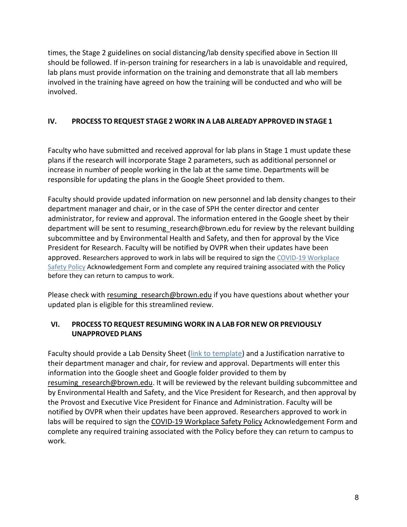times, the Stage 2 guidelines on social distancing/lab density specified above in Section III should be followed. If in-person training for researchers in a lab is unavoidable and required, lab plans must provide information on the training and demonstrate that all lab members involved in the training have agreed on how the training will be conducted and who will be involved.

# **IV. PROCESS TO REQUEST STAGE 2 WORK IN A LAB ALREADY APPROVED IN STAGE 1**

Faculty who have submitted and received approval for lab plans in Stage 1 must update these plans if the research will incorporate Stage 2 parameters, such as additional personnel or increase in number of people working in the lab at the same time. Departments will be responsible for updating the plans in the Google Sheet provided to them.

Faculty should provide updated information on new personnel and lab density changes to their department manager and chair, or in the case of SPH the center director and center administrator, for review and approval. The information entered in the Google sheet by their department will be sent to resuming research@brown.edu for review by the relevant building subcommittee and by Environmental Health and Safety, and then for approval by the Vice President for Research. Faculty will be notified by OVPR when their updates have been approved. Researchers approved to work in labs will be required to sign th[e COVID-19 Workplace](http://brown.edu/go/workplace-safety-policy)  [Safety Policy](http://brown.edu/go/workplace-safety-policy) Acknowledgement Form and complete any required training associated with the Policy before they can return to campus to work.

Please check with resuming research@brown.edu if you have questions about whether your updated plan is eligible for this streamlined review.

# **VI. PROCESS TO REQUEST RESUMING WORK IN A LAB FOR NEW OR PREVIOUSLY UNAPPROVED PLANS**

Faculty should provide a Lab Density Sheet [\(link to template\)](https://docs.google.com/spreadsheets/d/1Wxhsk-cIA6Kc2RDMkSsQpjfMtDeGhvfvzpXFG_22ZmU/edit?usp=sharing) and a Justification narrative to their department manager and chair, for review and approval. Departments will enter this information into the Google sheet and Google folder provided to them by resuming research@brown.edu. It will be reviewed by the relevant building subcommittee and by Environmental Health and Safety, and the Vice President for Research, and then approval by the Provost and Executive Vice President for Finance and Administration. Faculty will be notified by OVPR when their updates have been approved. Researchers approved to work in labs will be required to sign the [COVID-19 Workplace Safety Policy](http://brown.edu/go/workplace-safety-policy) Acknowledgement Form and complete any required training associated with the Policy before they can return to campus to work.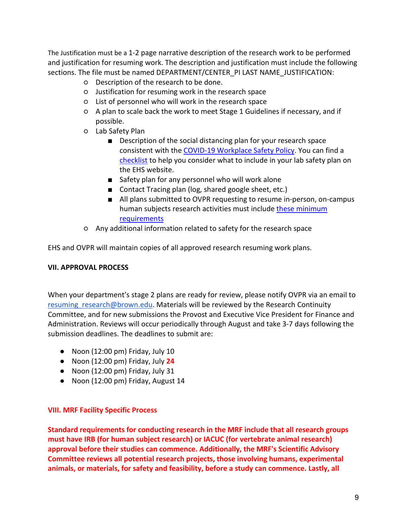The Justification must be a 1-2 page narrative description of the research work to be performed and justification for resuming work. The description and justification must include the following sections. The file must be named DEPARTMENT/CENTER\_PI LAST NAME\_JUSTIFICATION:

- Description of the research to be done.
- Justification for resuming work in the research space
- List of personnel who will work in the research space
- A plan to scale back the work to meet Stage 1 Guidelines if necessary, and if possible.
- Lab Safety Plan
	- Description of the social distancing plan for your research space consistent with the [COVID-19 Workplace Safety Policy.](http://brown.edu/go/workplace-safety-policy) You can find a [checklist](https://www.brown.edu/health-safety/research-ramp-checklist) to help you consider what to include in your lab safety plan on the EHS website.
	- Safety plan for any personnel who will work alone
	- Contact Tracing plan (log, shared google sheet, etc.)
	- All plans submitted to OVPR requesting to resume in-person, on-campus human subjects research activities must include [these minimum](https://www.brown.edu/research/conducting-research-brown/research-compliance-irb-iacuc-coi-export-control/hrpp-irb-home-page#minimumrequirements)  [requirements](https://www.brown.edu/research/conducting-research-brown/research-compliance-irb-iacuc-coi-export-control/hrpp-irb-home-page#minimumrequirements)
- Any additional information related to safety for the research space

EHS and OVPR will maintain copies of all approved research resuming work plans.

# **VII. APPROVAL PROCESS**

When your department's stage 2 plans are ready for review, please notify OVPR via an email to resuming research@brown.edu. Materials will be reviewed by the Research Continuity Committee, and for new submissions the Provost and Executive Vice President for Finance and Administration. Reviews will occur periodically through August and take 3-7 days following the submission deadlines. The deadlines to submit are:

- Noon (12:00 pm) Friday, July 10
- Noon (12:00 pm) Friday, July **24**
- Noon (12:00 pm) Friday, July 31
- Noon (12:00 pm) Friday, August 14

# **VIII. MRF Facility Specific Process**

**Standard requirements for conducting research in the MRF include that all research groups must have IRB (for human subject research) or IACUC (for vertebrate animal research) approval before their studies can commence. Additionally, the MRF's Scientific Advisory Committee reviews all potential research projects, those involving humans, experimental animals, or materials, for safety and feasibility, before a study can commence. Lastly, all**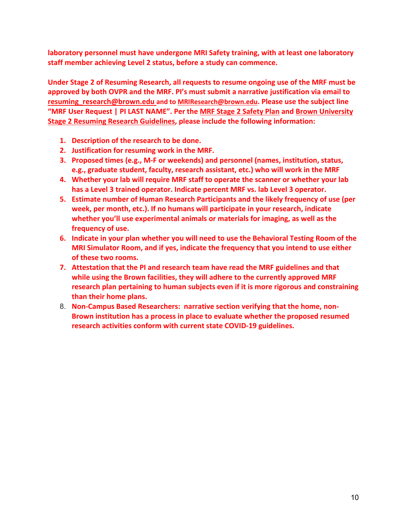**laboratory personnel must have undergone MRI Safety training, with at least one laboratory staff member achieving Level 2 status, before a study can commence.**

**Under Stage 2 of Resuming Research, all requests to resume ongoing use of the MRF must be approved by both OVPR and the MRF. PI's must submit a narrative justification via email to [resuming\\_research@brown.edu](mailto:resuming_research@brown.edu) and to [MRIResearch@brown.edu.](mailto:MRIResearch@brown.edu) Please use the subject line "MRF User Request | PI LAST NAME". Per the [MRF Stage 2 Safety Plan](https://www.brown.edu/carney/mri-covid-19-procedures) and [Brown University](http://www.brown.edu/research/sites/research/files/Stage-2-of-Brown-Resuming-Work-in-Research-Facilities.pdf)  [Stage 2 Resuming Research Guidelines,](http://www.brown.edu/research/sites/research/files/Stage-2-of-Brown-Resuming-Work-in-Research-Facilities.pdf) please include the following information:**

- **1. Description of the research to be done.**
- **2. Justification for resuming work in the MRF.**
- **3. Proposed times (e.g., M-F or weekends) and personnel (names, institution, status, e.g., graduate student, faculty, research assistant, etc.) who will work in the MRF**
- **4. Whether your lab will require MRF staff to operate the scanner or whether your lab has a Level 3 trained operator. Indicate percent MRF vs. lab Level 3 operator.**
- **5. Estimate number of Human Research Participants and the likely frequency of use (per week, per month, etc.). If no humans will participate in your research, indicate whether you'll use experimental animals or materials for imaging, as well as the frequency of use.**
- **6. Indicate in your plan whether you will need to use the Behavioral Testing Room of the MRI Simulator Room, and if yes, indicate the frequency that you intend to use either of these two rooms.**
- **7. Attestation that the PI and research team have read the MRF guidelines and that while using the Brown facilities, they will adhere to the currently approved MRF research plan pertaining to human subjects even if it is more rigorous and constraining than their home plans.**
- 8. **Non-Campus Based Researchers: narrative section verifying that the home, non-Brown institution has a process in place to evaluate whether the proposed resumed research activities conform with current state COVID-19 guidelines.**